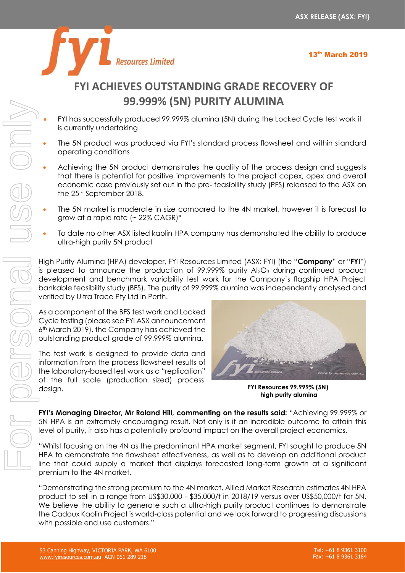

# **FYI ACHIEVES OUTSTANDING GRADE RECOVERY OF 99.999% (5N) PURITY ALUMINA**

- FYI has successfully produced 99.999% alumina (5N) during the Locked Cycle test work it is currently undertaking
- The 5N product was produced via FYI's standard process flowsheet and within standard operating conditions
- Achieving the 5N product demonstrates the quality of the process design and suggests that there is potential for positive improvements to the project capex, opex and overall economic case previously set out in the pre- feasibility study (PFS) released to the ASX on the 25<sup>th</sup> September 2018.
- The 5N market is moderate in size compared to the 4N market, however it is forecast to grow at a rapid rate  $($   $\sim$  22% CAGR) $*$
- To date no other ASX listed kaolin HPA company has demonstrated the ability to produce ultra-high purity 5N product

High Purity Alumina (HPA) developer, FYI Resources Limited (ASX: FYI) (the "**Company**" or "**FYI**") is pleased to announce the production of  $99.999\%$  purity Al<sub>2</sub>O<sub>3</sub> during continued product development and benchmark variability test work for the Company's flagship HPA Project bankable feasibility study (BFS). The purity of 99.999% alumina was independently analysed and verified by Ultra Trace Pty Ltd in Perth.

As a component of the BFS test work and Locked Cycle testing (please see FYI ASX announcement 6th March 2019), the Company has achieved the outstanding product grade of 99.999% alumina.

The test work is designed to provide data and information from the process flowsheet results of the laboratory-based test work as a "replication" of the full scale (production sized) process design.



**FYI Resources 99.999% (5N) high purity alumina**

**FYI's Managing Director, Mr Roland Hill, commenting on the results said:** "Achieving 99.999% or 5N HPA is an extremely encouraging result. Not only is it an incredible outcome to attain this level of purity, it also has a potentially profound impact on the overall project economics.

"Whilst focusing on the 4N as the predominant HPA market segment, FYI sought to produce 5N HPA to demonstrate the flowsheet effectiveness, as well as to develop an additional product line that could supply a market that displays forecasted long-term growth at a significant premium to the 4N market.

"Demonstrating the strong premium to the 4N market, Allied Market Research estimates 4N HPA product to sell in a range from US\$30,000 - \$35,000/t in 2018/19 versus over US\$50,000/t for 5N. We believe the ability to generate such a ultra-high purity product continues to demonstrate the Cadoux Kaolin Project is world-class potential and we look forward to progressing discussions with possible end use customers."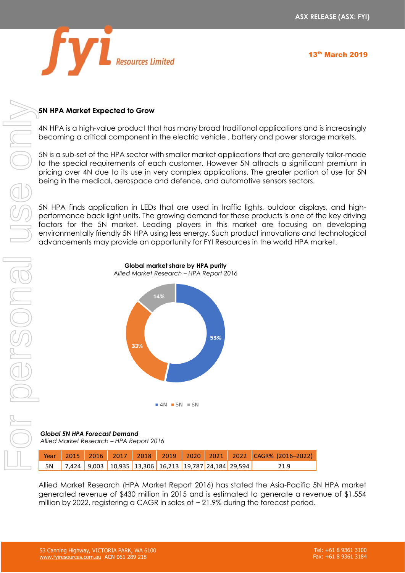

13th March 2019

### **5N HPA Market Expected to Grow**

4N HPA is a high-value product that has many broad traditional applications and is increasingly becoming a critical component in the electric vehicle , battery and power storage markets.

5N is a sub-set of the HPA sector with smaller market applications that are generally tailor-made to the special requirements of each customer. However 5N attracts a significant premium in pricing over 4N due to its use in very complex applications. The greater portion of use for 5N being in the medical, aerospace and defence, and automotive sensors sectors.

5N HPA finds application in LEDs that are used in traffic lights, outdoor displays, and highperformance back light units. The growing demand for these products is one of the key driving factors for the 5N market. Leading players in this market are focusing on developing environmentally friendly 5N HPA using less energy. Such product innovations and technological advancements may provide an opportunity for FYI Resources in the world HPA market.



**Global market share by HPA purity** *Allied Market Research – HPA Report 2016*

*Global 5N HPA Forecast Demand Allied Market Research – HPA Report 2016*

|  |  |                                                          |  | Year 2015 2016 2017 2018 2019 2020 2021 2022 CAGR% (2016-2022) |
|--|--|----------------------------------------------------------|--|----------------------------------------------------------------|
|  |  | 5N 7,424 9,003 10,935 13,306 16,213 19,787 24,184 29,594 |  | 21.9                                                           |

Allied Market Research (HPA Market Report 2016) has stated the Asia-Pacific 5N HPA market generated revenue of \$430 million in 2015 and is estimated to generate a revenue of \$1,554 million by 2022, registering a CAGR in sales of  $\sim$  21.9% during the forecast period.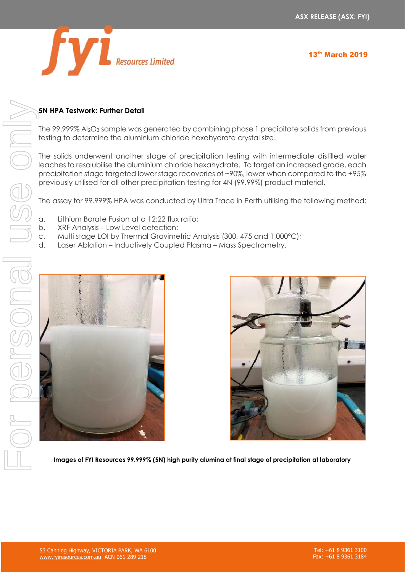

13th March 2019

### **5N HPA Testwork: Further Detail**

The 99.999% Al2O<sup>3</sup> sample was generated by combining phase 1 precipitate solids from previous testing to determine the aluminium chloride hexahydrate crystal size.

The solids underwent another stage of precipitation testing with intermediate distilled water leaches to resolubilise the aluminium chloride hexahydrate. To target an increased grade, each precipitation stage targeted lower stage recoveries of ~90%, lower when compared to the +95% previously utilised for all other precipitation testing for 4N (99.99%) product material.

The assay for 99.999% HPA was conducted by Ultra Trace in Perth utilising the following method:

- a. Lithium Borate Fusion at a 12:22 flux ratio;
- b. XRF Analysis Low Level detection;
- c. Multi stage LOI by Thermal Gravimetric Analysis (300, 475 and 1,000°C);
- 





**Images of FYI Resources 99.999% (5N) high purity alumina at final stage of precipitation at laboratory**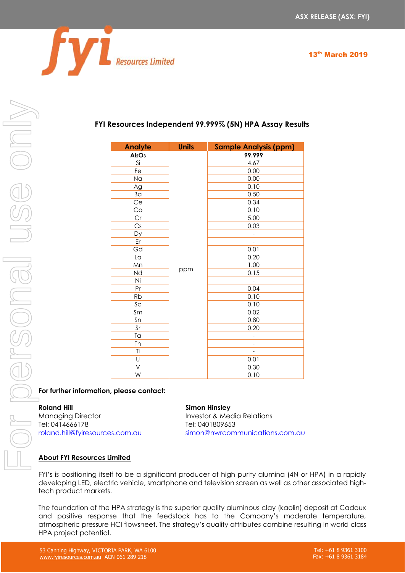

## **FYI Resources Independent 99.999% (5N) HPA Assay Results**

| <b>Analyte</b>                 | <b>Units</b> | <b>Sample Analysis (ppm)</b> |
|--------------------------------|--------------|------------------------------|
| Al <sub>2</sub> O <sub>3</sub> |              | 99.999                       |
| Si                             |              | 4.67                         |
| Fe                             |              | 0.00                         |
| Na                             |              | 0.00                         |
| Ag                             |              | 0.10                         |
| Ba                             |              | 0.50                         |
| Ce                             |              | 0.34                         |
| Co                             |              | 0.10                         |
| Cr                             |              | 5.00                         |
| Cs                             |              | 0.03                         |
| Dy                             |              | -                            |
| Er                             |              |                              |
| Gd                             |              | 0.01                         |
| La                             |              | 0.20                         |
| Mn                             |              | 1.00                         |
| Nd                             | ppm          | 0.15                         |
| Ni                             |              |                              |
| Pr                             |              | 0.04                         |
| <b>Rb</b>                      |              | 0.10                         |
| Sc                             |              | 0.10                         |
| Sm                             |              | 0.02                         |
| Sn                             |              | 0.80                         |
| Sr                             |              | 0.20                         |
| Ta                             |              | -                            |
| Th                             |              |                              |
| Ti                             |              | -                            |
| U                              |              | 0.01                         |
| V                              |              | 0.30                         |
| W                              |              | 0.10                         |

### **For further information, please contact:**

Managing Director **Investor & Media Relations** Tel: 0414666178 Tel: 0401809653

### **Roland Hill Simon Hinsley**

[roland.hill@fyiresources.com.au](mailto:roland.hill@fyiresources.com.au) [simon@nwrcommunications.com.au](mailto:simon@nwrcommunications.com.au)

### **About FYI Resources Limited**

FYI's is positioning itself to be a significant producer of high purity alumina (4N or HPA) in a rapidly developing LED, electric vehicle, smartphone and television screen as well as other associated hightech product markets.

The foundation of the HPA strategy is the superior quality aluminous clay (kaolin) deposit at Cadoux and positive response that the feedstock has to the Company's moderate temperature, atmospheric pressure HCl flowsheet. The strategy's quality attributes combine resulting in world class HPA project potential.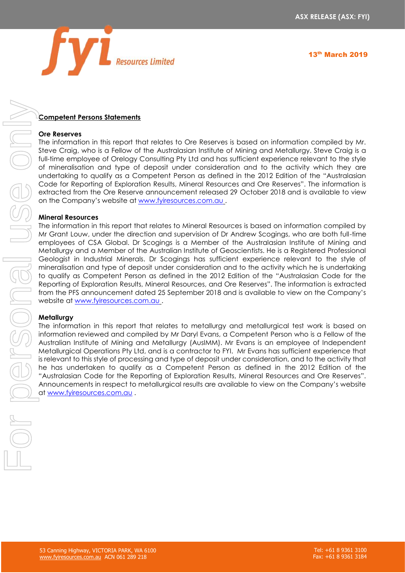

### **Competent Persons Statements**

### **Ore Reserves**

The information in this report that relates to Ore Reserves is based on information compiled by Mr. Steve Craig, who is a Fellow of the Australasian Institute of Mining and Metallurgy. Steve Craig is a full-time employee of Orelogy Consulting Pty Ltd and has sufficient experience relevant to the style of mineralisation and type of deposit under consideration and to the activity which they are undertaking to qualify as a Competent Person as defined in the 2012 Edition of the "Australasian Code for Reporting of Exploration Results, Mineral Resources and Ore Reserves". The information is extracted from the Ore Reserve announcement released 29 October 2018 and is available to view on the Company's website at [www.fyiresources.com.au](http://www.fyiresources.com.au/) .

### **Mineral Resources**

The information in this report that relates to Mineral Resources is based on information compiled by Mr Grant Louw, under the direction and supervision of Dr Andrew Scogings, who are both full-time employees of CSA Global. Dr Scogings is a Member of the Australasian Institute of Mining and Metallurgy and a Member of the Australian Institute of Geoscientists. He is a Registered Professional Geologist in Industrial Minerals. Dr Scogings has sufficient experience relevant to the style of mineralisation and type of deposit under consideration and to the activity which he is undertaking to qualify as Competent Person as defined in the 2012 Edition of the "Australasian Code for the Reporting of Exploration Results, Mineral Resources, and Ore Reserves". The information is extracted from the PFS announcement dated 25 September 2018 and is available to view on the Company's website at [www.fyiresources.com.au](http://www.fyiresources.com.au/) .

### **Metallurgy**

The information in this report that relates to metallurgy and metallurgical test work is based on information reviewed and compiled by Mr Daryl Evans, a Competent Person who is a Fellow of the Australian Institute of Mining and Metallurgy (AusIMM). Mr Evans is an employee of Independent Metallurgical Operations Pty Ltd, and is a contractor to FYI. Mr Evans has sufficient experience that is relevant to this style of processing and type of deposit under consideration, and to the activity that he has undertaken to qualify as a Competent Person as defined in the 2012 Edition of the "Australasian Code for the Reporting of Exploration Results, Mineral Resources and Ore Reserves". Announcements in respect to metallurgical results are available to view on the Company's website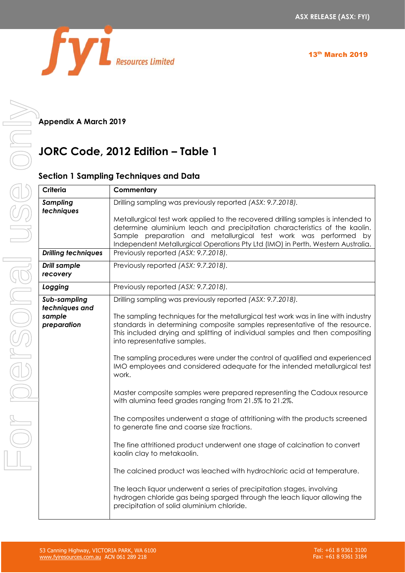

**Appendix A March 2019**

# **JORC Code, 2012 Edition – Table 1**

### **Section 1 Sampling Techniques and Data**

| Criteria                                | Commentary                                                                                                                                                                                                                                                                                                           |  |  |  |
|-----------------------------------------|----------------------------------------------------------------------------------------------------------------------------------------------------------------------------------------------------------------------------------------------------------------------------------------------------------------------|--|--|--|
| <b>Sampling</b><br>techniques           | Drilling sampling was previously reported (ASX: 9.7.2018).                                                                                                                                                                                                                                                           |  |  |  |
|                                         | Metallurgical test work applied to the recovered drilling samples is intended to<br>determine aluminium leach and precipitation characteristics of the kaolin.<br>Sample preparation and metallurgical test work was performed by<br>Independent Metallurgical Operations Pty Ltd (IMO) in Perth, Western Australia. |  |  |  |
| <b>Drilling techniques</b>              | Previously reported (ASX: 9.7.2018).                                                                                                                                                                                                                                                                                 |  |  |  |
| <b>Drill sample</b><br>recovery         | Previously reported (ASX: 9.7.2018).                                                                                                                                                                                                                                                                                 |  |  |  |
| Logging                                 | Previously reported (ASX: 9.7.2018).                                                                                                                                                                                                                                                                                 |  |  |  |
| Sub-sampling                            | Drilling sampling was previously reported (ASX: 9.7.2018).                                                                                                                                                                                                                                                           |  |  |  |
| techniques and<br>sample<br>preparation | The sampling techniques for the metallurgical test work was in line with industry<br>standards in determining composite samples representative of the resource.<br>This included drying and splitting of individual samples and then compositing<br>into representative samples.                                     |  |  |  |
|                                         | The sampling procedures were under the control of qualified and experienced<br>IMO employees and considered adequate for the intended metallurgical test<br>work.                                                                                                                                                    |  |  |  |
|                                         | Master composite samples were prepared representing the Cadoux resource<br>with alumina feed grades ranging from 21.5% to 21.2%.                                                                                                                                                                                     |  |  |  |
|                                         | The composites underwent a stage of attritioning with the products screened<br>to generate fine and coarse size fractions.                                                                                                                                                                                           |  |  |  |
|                                         | The fine attritioned product underwent one stage of calcination to convert<br>kaolin clay to metakaolin.                                                                                                                                                                                                             |  |  |  |
|                                         | The calcined product was leached with hydrochloric acid at temperature.                                                                                                                                                                                                                                              |  |  |  |
|                                         | The leach liquor underwent a series of precipitation stages, involving<br>hydrogen chloride gas being sparged through the leach liquor allowing the<br>precipitation of solid aluminium chloride.                                                                                                                    |  |  |  |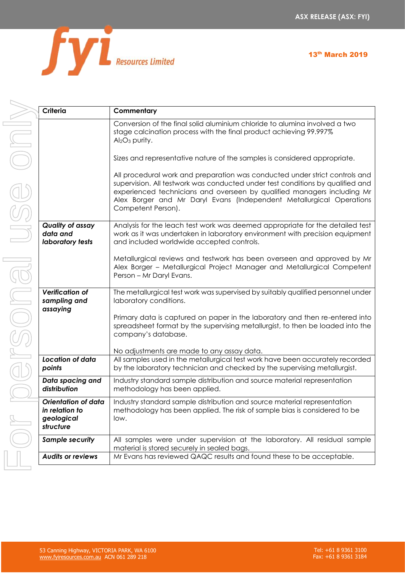

| 13th March 2019 |  |
|-----------------|--|
|-----------------|--|

| Criteria                                                                | Commentary                                                                                                                                                                                                                                                                                                                             |  |  |  |
|-------------------------------------------------------------------------|----------------------------------------------------------------------------------------------------------------------------------------------------------------------------------------------------------------------------------------------------------------------------------------------------------------------------------------|--|--|--|
|                                                                         | Conversion of the final solid aluminium chloride to alumina involved a two<br>stage calcination process with the final product achieving 99.997%<br>$Al2O3$ purity.                                                                                                                                                                    |  |  |  |
|                                                                         | Sizes and representative nature of the samples is considered appropriate.                                                                                                                                                                                                                                                              |  |  |  |
|                                                                         | All procedural work and preparation was conducted under strict controls and<br>supervision. All testwork was conducted under test conditions by qualified and<br>experienced technicians and overseen by qualified managers including Mr<br>Alex Borger and Mr Daryl Evans (Independent Metallurgical Operations<br>Competent Person). |  |  |  |
| <b>Quality of assay</b><br>data and<br>laboratory tests                 | Analysis for the leach test work was deemed appropriate for the detailed test<br>work as it was undertaken in laboratory environment with precision equipment<br>and included worldwide accepted controls.                                                                                                                             |  |  |  |
|                                                                         | Metallurgical reviews and testwork has been overseen and approved by Mr<br>Alex Borger - Metallurgical Project Manager and Metallurgical Competent<br>Person - Mr Daryl Evans.                                                                                                                                                         |  |  |  |
| <b>Verification of</b><br>sampling and<br>assaying                      | The metallurgical test work was supervised by suitably qualified personnel under<br>laboratory conditions.                                                                                                                                                                                                                             |  |  |  |
|                                                                         | Primary data is captured on paper in the laboratory and then re-entered into<br>spreadsheet format by the supervising metallurgist, to then be loaded into the<br>company's database.                                                                                                                                                  |  |  |  |
|                                                                         | No adjustments are made to any assay data.                                                                                                                                                                                                                                                                                             |  |  |  |
| Location of data<br>points                                              | All samples used in the metallurgical test work have been accurately recorded<br>by the laboratory technician and checked by the supervising metallurgist.                                                                                                                                                                             |  |  |  |
| Data spacing and<br>distribution                                        | Industry standard sample distribution and source material representation<br>methodology has been applied.                                                                                                                                                                                                                              |  |  |  |
| <b>Orientation of data</b><br>in relation to<br>geological<br>structure | Industry standard sample distribution and source material representation<br>methodology has been applied. The risk of sample bias is considered to be<br>low.                                                                                                                                                                          |  |  |  |
| <b>Sample security</b>                                                  | All samples were under supervision at the laboratory. All residual sample<br>material is stored securely in sealed bags.                                                                                                                                                                                                               |  |  |  |
| <b>Audits or reviews</b>                                                | Mr Evans has reviewed QAQC results and found these to be acceptable.                                                                                                                                                                                                                                                                   |  |  |  |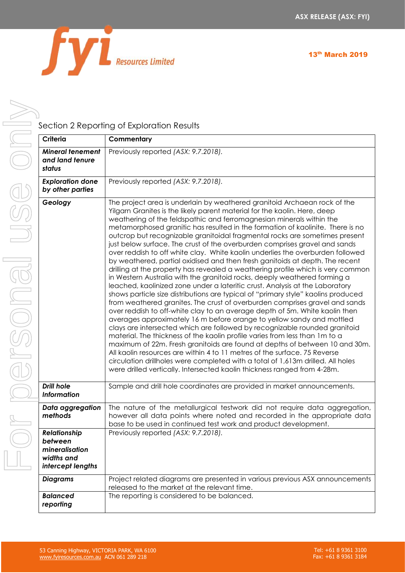



# For personal use only**RONOC**

Section 2 Reporting of Exploration Results

| Criteria                                                                     | Commentary                                                                                                                                                                                                                                                                                                                                                                                                                                                                                                                                                                                                                                                                                                                                                                                                                                                                                                                                                                                                                                                                                                                                                                                                                                                                                                                                                                                                                                                                                                                                                                                                                                                                                                           |
|------------------------------------------------------------------------------|----------------------------------------------------------------------------------------------------------------------------------------------------------------------------------------------------------------------------------------------------------------------------------------------------------------------------------------------------------------------------------------------------------------------------------------------------------------------------------------------------------------------------------------------------------------------------------------------------------------------------------------------------------------------------------------------------------------------------------------------------------------------------------------------------------------------------------------------------------------------------------------------------------------------------------------------------------------------------------------------------------------------------------------------------------------------------------------------------------------------------------------------------------------------------------------------------------------------------------------------------------------------------------------------------------------------------------------------------------------------------------------------------------------------------------------------------------------------------------------------------------------------------------------------------------------------------------------------------------------------------------------------------------------------------------------------------------------------|
| <b>Mineral tenement</b><br>and land tenure<br>status                         | Previously reported (ASX: 9.7.2018).                                                                                                                                                                                                                                                                                                                                                                                                                                                                                                                                                                                                                                                                                                                                                                                                                                                                                                                                                                                                                                                                                                                                                                                                                                                                                                                                                                                                                                                                                                                                                                                                                                                                                 |
| <b>Exploration done</b><br>by other parties                                  | Previously reported (ASX: 9.7.2018).                                                                                                                                                                                                                                                                                                                                                                                                                                                                                                                                                                                                                                                                                                                                                                                                                                                                                                                                                                                                                                                                                                                                                                                                                                                                                                                                                                                                                                                                                                                                                                                                                                                                                 |
| Geology                                                                      | The project area is underlain by weathered granitoid Archaean rock of the<br>Yilgarn Granites is the likely parent material for the kaolin. Here, deep<br>weathering of the feldspathic and ferromagnesian minerals within the<br>metamorphosed granitic has resulted in the formation of kaolinite. There is no<br>outcrop but recognizable granitoidal fragmental rocks are sometimes present<br>just below surface. The crust of the overburden comprises gravel and sands<br>over reddish to off white clay. White kaolin underlies the overburden followed<br>by weathered, partial oxidised and then fresh ganitoids at depth. The recent<br>drilling at the property has revealed a weathering profile which is very common<br>in Western Australia with the granitoid rocks, deeply weathered forming a<br>leached, kaolinized zone under a lateritic crust. Analysis at the Laboratory<br>shows particle size distributions are typical of "primary style" kaolins produced<br>from weathered granites. The crust of overburden comprises gravel and sands<br>over reddish to off-white clay to an average depth of 5m. White kaolin then<br>averages approximately 16 m before orange to yellow sandy and mottled<br>clays are intersected which are followed by recognizable rounded granitoid<br>material. The thickness of the kaolin profile varies from less than 1 m to a<br>maximum of 22m. Fresh granitoids are found at depths of between 10 and 30m.<br>All kaolin resources are within 4 to 11 metres of the surface, 75 Reverse<br>circulation drillholes were completed with a total of 1,613m drilled. All holes<br>were drilled vertically. Intersected kaolin thickness ranged from 4-28m. |
| <b>Drill hole</b><br><b>Information</b>                                      | Sample and drill hole coordinates are provided in market announcements.                                                                                                                                                                                                                                                                                                                                                                                                                                                                                                                                                                                                                                                                                                                                                                                                                                                                                                                                                                                                                                                                                                                                                                                                                                                                                                                                                                                                                                                                                                                                                                                                                                              |
| Data aggregation<br>methods                                                  | The nature of the metallurgical testwork did not require data aggregation,<br>however all data points where noted and recorded in the appropriate data<br>base to be used in continued test work and product development.                                                                                                                                                                                                                                                                                                                                                                                                                                                                                                                                                                                                                                                                                                                                                                                                                                                                                                                                                                                                                                                                                                                                                                                                                                                                                                                                                                                                                                                                                            |
| Relationship<br>between<br>mineralisation<br>widths and<br>intercept lengths | Previously reported (ASX: 9.7.2018).                                                                                                                                                                                                                                                                                                                                                                                                                                                                                                                                                                                                                                                                                                                                                                                                                                                                                                                                                                                                                                                                                                                                                                                                                                                                                                                                                                                                                                                                                                                                                                                                                                                                                 |
| <b>Diagrams</b>                                                              | Project related diagrams are presented in various previous ASX announcements<br>released to the market at the relevant time.                                                                                                                                                                                                                                                                                                                                                                                                                                                                                                                                                                                                                                                                                                                                                                                                                                                                                                                                                                                                                                                                                                                                                                                                                                                                                                                                                                                                                                                                                                                                                                                         |
| Balanced<br>reporting                                                        | The reporting is considered to be balanced.                                                                                                                                                                                                                                                                                                                                                                                                                                                                                                                                                                                                                                                                                                                                                                                                                                                                                                                                                                                                                                                                                                                                                                                                                                                                                                                                                                                                                                                                                                                                                                                                                                                                          |